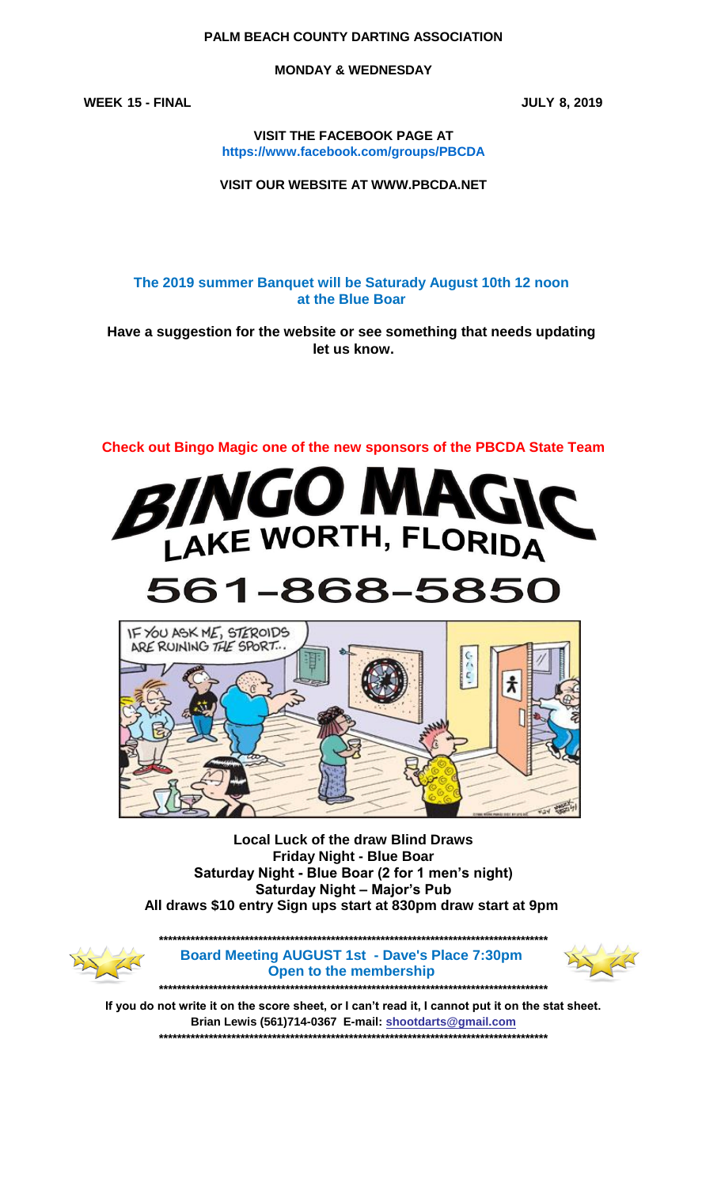#### **PALM BEACH COUNTY DARTING ASSOCIATION**

**MONDAY & WEDNESDAY**

**WEEK 15 - FINAL JULY 8, 2019**

**VISIT THE FACEBOOK PAGE AT https://www.facebook.com/groups/PBCDA**

**VISIT OUR WEBSITE AT WWW.PBCDA.NET**

**The 2019 summer Banquet will be Saturady August 10th 12 noon at the Blue Boar** 

**Have a suggestion for the website or see something that needs updating let us know.**





# 561-868-5850



**Saturday Night – Major's Pub Friday Night - Blue Boar All draws \$10 entry Sign ups start at 830pm draw start at 9pm Local Luck of the draw Blind Draws Saturday Night - Blue Boar (2 for 1 men's night)**



**\*\*\*\*\*\*\*\*\*\*\*\*\*\*\*\*\*\*\*\*\*\*\*\*\*\*\*\*\*\*\*\*\*\*\*\*\*\*\*\*\*\*\*\*\*\*\*\*\*\*\*\*\*\*\*\*\*\*\*\*\*\*\*\*\*\*\*\*\*\*\*\*\*\*\*\*\*\*\*\*\*\*\*\*\*\* Board Meeting AUGUST 1st - Dave's Place 7:30pm Open to the membership** 

**\*\*\*\*\*\*\*\*\*\*\*\*\*\*\*\*\*\*\*\*\*\*\*\*\*\*\*\*\*\*\*\*\*\*\*\*\*\*\*\*\*\*\*\*\*\*\*\*\*\*\*\*\*\*\*\*\*\*\*\*\*\*\*\*\*\*\*\*\*\*\*\*\*\*\*\*\*\*\*\*\*\*\*\*\*\***



**If you do not write it on the score sheet, or I can't read it, I cannot put it on the stat sheet. Brian Lewis (561)714-0367 E-mail: shootdarts@gmail.com \*\*\*\*\*\*\*\*\*\*\*\*\*\*\*\*\*\*\*\*\*\*\*\*\*\*\*\*\*\*\*\*\*\*\*\*\*\*\*\*\*\*\*\*\*\*\*\*\*\*\*\*\*\*\*\*\*\*\*\*\*\*\*\*\*\*\*\*\*\*\*\*\*\*\*\*\*\*\*\*\*\*\*\*\*\***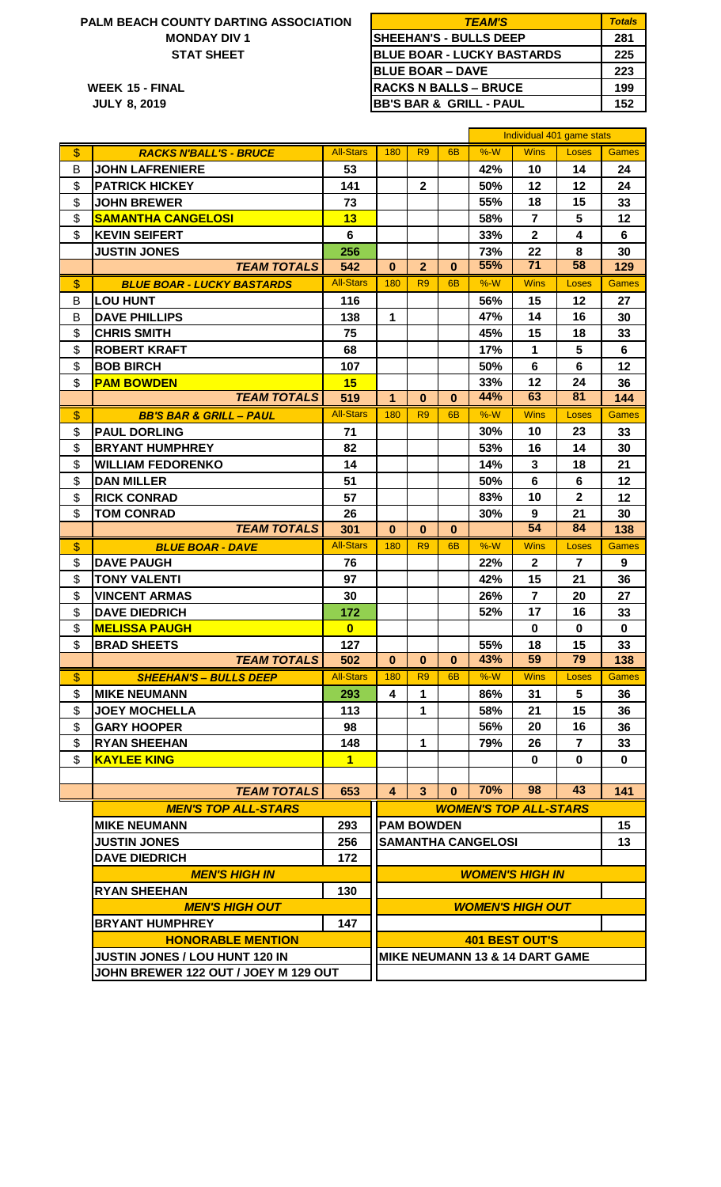## **STAT SHEET PALM BEACH COUNTY DARTING ASSOCIATION MONDAY DIV 1**

| ALM BEACH COUNTY DARTING ASSOCIATION | <b>TEAM'S</b>                      | <b>Totals</b> |
|--------------------------------------|------------------------------------|---------------|
| <b>MONDAY DIV 1</b>                  | SHEEHAN'S - BULLS DEEP             | 281           |
| <b>STAT SHEET</b>                    | <b>BLUE BOAR - LUCKY BASTARDS</b>  | 225           |
|                                      | <b>IBLUE BOAR - DAVE</b>           | 223           |
| WEEK 15 - FINAL                      | <b>RACKS N BALLS – BRUCE</b>       | 199           |
| <b>JULY 8, 2019</b>                  | <b>BB'S BAR &amp; GRILL - PAUL</b> | 152           |

|                   |                                      |                  |                         | Individual 401 game stats |                |                           |                                           |                         |              |
|-------------------|--------------------------------------|------------------|-------------------------|---------------------------|----------------|---------------------------|-------------------------------------------|-------------------------|--------------|
| \$                | <b>RACKS N'BALL'S - BRUCE</b>        | <b>All-Stars</b> | 180                     | R <sub>9</sub>            | 6 <sub>B</sub> | %W                        | <b>Wins</b>                               | Loses                   | <b>Games</b> |
| B                 | <b>JOHN LAFRENIERE</b>               | 53               |                         |                           |                | 42%                       | 10                                        | 14                      | 24           |
| \$                | <b>PATRICK HICKEY</b>                | 141              |                         | $\mathbf{2}$              |                | 50%                       | 12                                        | 12                      | 24           |
| \$                | <b>JOHN BREWER</b>                   | 73               |                         |                           |                | 55%                       | 18                                        | 15                      | 33           |
| \$                | <b>SAMANTHA CANGELOSI</b>            | 13               |                         |                           |                | 58%                       | $\overline{7}$                            | 5                       | 12           |
| \$                | <b>KEVIN SEIFERT</b>                 | 6                |                         |                           |                | 33%                       | $\mathbf{2}$                              | $\overline{\mathbf{4}}$ | 6            |
|                   | <b>JUSTIN JONES</b>                  | 256              |                         |                           |                | 73%                       | 22                                        | 8                       | 30           |
|                   | <b>TEAM TOTALS</b>                   | 542              | $\bf{0}$                | $\overline{2}$            | 0              | 55%                       | 71                                        | 58                      | 129          |
| \$                | <b>BLUE BOAR - LUCKY BASTARDS</b>    | <b>All-Stars</b> | 180                     | R <sub>9</sub>            | 6 <sub>B</sub> | $%-W$                     | <b>Wins</b>                               | Loses                   | <b>Games</b> |
| B                 | <b>LOU HUNT</b>                      | 116              |                         |                           |                | 56%                       | 15                                        | 12                      | 27           |
| B                 | <b>DAVE PHILLIPS</b>                 | 138              | 1                       |                           |                | 47%                       | 14                                        | 16                      | 30           |
| \$                | <b>CHRIS SMITH</b>                   | 75               |                         |                           |                | 45%                       | 15                                        | 18                      | 33           |
| \$                | <b>ROBERT KRAFT</b>                  | 68               |                         |                           |                | 17%                       | 1                                         | 5                       | 6            |
| \$                | <b>BOB BIRCH</b>                     | 107              |                         |                           |                | 50%                       | $6\phantom{1}$                            | 6                       | 12           |
| \$                | <b>PAM BOWDEN</b>                    | 15               |                         |                           |                | 33%                       | 12                                        | 24                      | 36           |
|                   | <b>TEAM TOTALS</b>                   | 519              | $\mathbf{1}$            | $\bf{0}$                  | $\bf{0}$       | 44%                       | 63                                        | 81                      | 144          |
| \$                | <b>BB'S BAR &amp; GRILL - PAUL</b>   | <b>All-Stars</b> | 180                     | R <sub>9</sub>            | 6 <sub>B</sub> | $%-W$                     | <b>Wins</b>                               | Loses                   | <b>Games</b> |
| \$                | <b>PAUL DORLING</b>                  | 71               |                         |                           |                | 30%                       | 10                                        | 23                      | 33           |
| \$                | <b>BRYANT HUMPHREY</b>               | 82               |                         |                           |                | 53%                       | 16                                        | 14                      | 30           |
| \$                | <b>WILLIAM FEDORENKO</b>             | 14               |                         |                           |                | 14%                       | 3                                         | 18                      | 21           |
| \$                | <b>DAN MILLER</b>                    | 51               |                         |                           |                | 50%                       | 6                                         | 6                       | 12           |
| \$                | <b>RICK CONRAD</b>                   | 57               |                         |                           |                | 83%                       | 10                                        | $\mathbf{2}$            | 12           |
| \$                | <b>TOM CONRAD</b>                    | 26               |                         |                           |                | 30%                       | 9                                         | 21                      | 30           |
|                   | <b>TEAM TOTALS</b>                   | 301              | $\bf{0}$                | $\bf{0}$                  | $\bf{0}$       |                           | $\overline{54}$                           | 84                      | 138          |
| $\boldsymbol{\$}$ | <b>BLUE BOAR - DAVE</b>              | <b>All-Stars</b> | 180                     | R <sub>9</sub>            | 6 <sub>B</sub> | $%-W$                     | <b>Wins</b>                               | Loses                   | <b>Games</b> |
| \$                | <b>DAVE PAUGH</b>                    | 76               |                         |                           |                | 22%                       | $\mathbf{2}$                              | $\overline{7}$          | 9            |
| \$                | <b>TONY VALENTI</b>                  | 97               |                         |                           |                | 42%                       | 15                                        | 21                      | 36           |
| \$                | <b>VINCENT ARMAS</b>                 | 30               |                         |                           |                | 26%                       | $\overline{7}$                            | 20                      | 27           |
| \$                | <b>DAVE DIEDRICH</b>                 | 172              |                         |                           |                | 52%                       | 17                                        | 16                      | 33           |
| \$                | <b>MELISSA PAUGH</b>                 | $\bf{0}$         |                         |                           |                |                           | $\mathbf 0$                               | $\bf{0}$                | $\mathbf 0$  |
| \$                | <b>BRAD SHEETS</b>                   | 127              |                         |                           |                | 55%                       | 18                                        | 15                      | 33           |
|                   | <b>TEAM TOTALS</b>                   | 502              | $\mathbf{0}$            | $\mathbf{0}$              | $\mathbf{0}$   | 43%                       | 59                                        | 79                      | 138          |
| \$                | <b>SHEEHAN'S – BULLS DEEP</b>        | <b>All-Stars</b> | 180                     | R <sub>9</sub>            | 6 <sub>B</sub> | %W                        | Wins                                      | Loses                   | <b>Games</b> |
| \$                | <b>MIKE NEUMANN</b>                  | 293              | 4                       | 1                         |                | 86%                       | 31                                        | 5                       | 36           |
| \$                | <b>JOEY MOCHELLA</b>                 | 113              |                         | 1                         |                | 58%                       | 21                                        | 15                      | 36           |
| \$                | <b>GARY HOOPER</b>                   | 98               |                         |                           |                | 56%                       | 20                                        | 16                      | 36           |
| \$                | <b>RYAN SHEEHAN</b>                  | 148              |                         | 1                         |                | 79%                       | 26                                        | $\overline{7}$          | 33           |
| \$                | <b>KAYLEE KING</b>                   | $\mathbf{1}$     |                         |                           |                |                           | $\bf{0}$                                  | $\bf{0}$                | $\bf{0}$     |
|                   |                                      |                  |                         |                           |                |                           |                                           |                         |              |
|                   | <b>TEAM TOTALS</b>                   | 653              | 4                       | $\mathbf{3}$              | $\bf{0}$       | 70%                       | 98                                        | 43                      | 141          |
|                   | <b>MEN'S TOP ALL-STARS</b>           |                  |                         |                           |                |                           | <b>WOMEN'S TOP ALL-STARS</b>              |                         |              |
|                   | <b>MIKE NEUMANN</b>                  | 293              |                         | <b>PAM BOWDEN</b>         |                |                           |                                           |                         | 15           |
|                   | <b>JUSTIN JONES</b>                  | 256              |                         |                           |                | <b>SAMANTHA CANGELOSI</b> |                                           |                         | 13           |
|                   | <b>DAVE DIEDRICH</b>                 | 172              |                         |                           |                |                           |                                           |                         |              |
|                   | <b>MEN'S HIGH IN</b>                 |                  | <b>WOMEN'S HIGH IN</b>  |                           |                |                           |                                           |                         |              |
|                   | <b>RYAN SHEEHAN</b>                  | 130              |                         |                           |                |                           |                                           |                         |              |
|                   | <b>MEN'S HIGH OUT</b>                |                  | <b>WOMEN'S HIGH OUT</b> |                           |                |                           |                                           |                         |              |
|                   | <b>BRYANT HUMPHREY</b>               | 147              |                         |                           |                |                           |                                           |                         |              |
|                   | <b>HONORABLE MENTION</b>             |                  |                         |                           |                |                           | <b>401 BEST OUT'S</b>                     |                         |              |
|                   | JUSTIN JONES / LOU HUNT 120 IN       |                  |                         |                           |                |                           | <b>MIKE NEUMANN 13 &amp; 14 DART GAME</b> |                         |              |
|                   | JOHN BREWER 122 OUT / JOEY M 129 OUT |                  |                         |                           |                |                           |                                           |                         |              |
|                   |                                      |                  |                         |                           |                |                           |                                           |                         |              |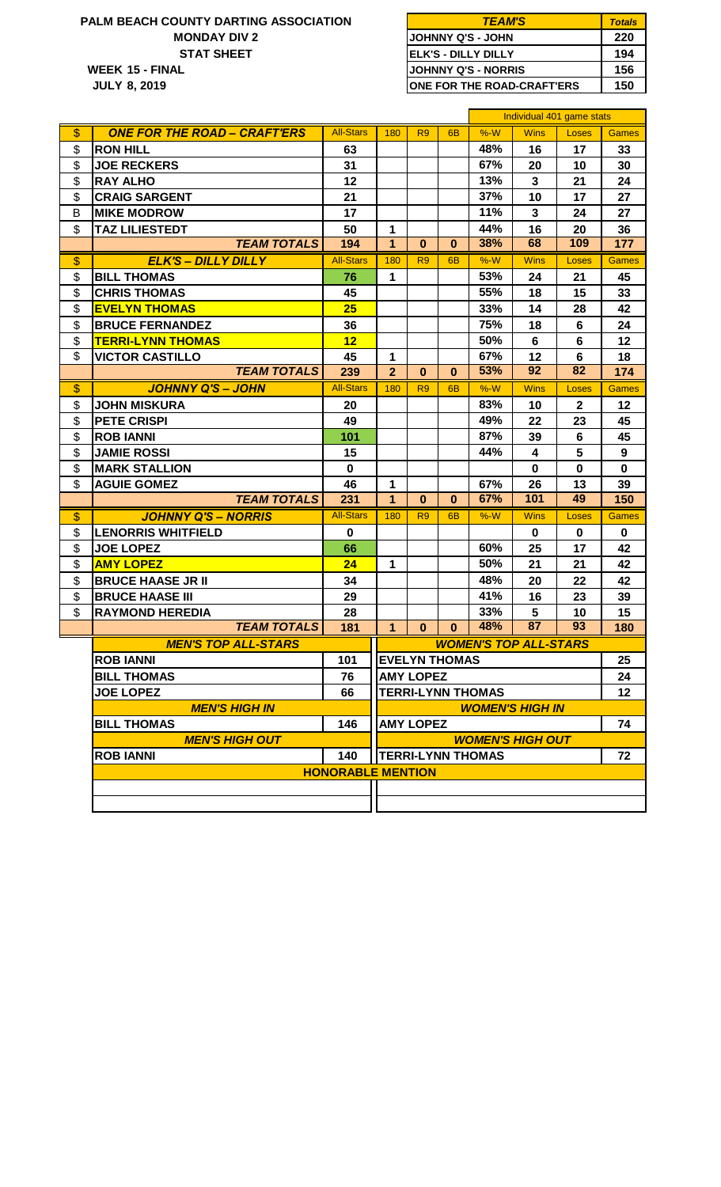## **15 - FINAL 156 WEEK MONDAY DIV 2 PALM BEACH COUNTY DARTING ASSOCIATION STAT SHEET**

**8, 2019 JULY**

| <b>TEAM'S</b>                      | <b>Totals</b> |
|------------------------------------|---------------|
| <b>JJOHNNY Q'S - JOHN</b>          | 220           |
| <b>IELK'S - DILLY DILLY</b>        | 194           |
| <b>JJOHNNY Q'S - NORRIS</b>        | 156           |
| <b>IONE FOR THE ROAD-CRAFT'ERS</b> | 150           |

|    |                                     |                          |                |                  |                      |                          | Individual 401 game stats    |              |              |  |
|----|-------------------------------------|--------------------------|----------------|------------------|----------------------|--------------------------|------------------------------|--------------|--------------|--|
| \$ | <b>ONE FOR THE ROAD - CRAFT'ERS</b> | <b>All-Stars</b>         | 180            | R <sub>9</sub>   | 6 <sub>B</sub>       | $%-W$                    | <b>Wins</b>                  | Loses        | <b>Games</b> |  |
| \$ | <b>RON HILL</b>                     | 63                       |                |                  |                      | 48%                      | 16                           | 17           | 33           |  |
| \$ | <b>JOE RECKERS</b>                  | 31                       |                |                  |                      | 67%                      | 20                           | 10           | 30           |  |
| \$ | <b>RAY ALHO</b>                     | 12                       |                |                  |                      | 13%                      | $\mathbf{3}$                 | 21           | 24           |  |
| \$ | <b>CRAIG SARGENT</b>                | 21                       |                |                  |                      | 37%                      | 10                           | 17           | 27           |  |
| B  | <b>MIKE MODROW</b>                  | 17                       |                |                  |                      | 11%                      | $\mathbf{3}$                 | 24           | 27           |  |
| \$ | <b>TAZ LILIESTEDT</b>               | 50                       | 1              |                  |                      | 44%                      | 16                           | 20           | 36           |  |
|    | <b>TEAM TOTALS</b>                  | 194                      | $\mathbf{1}$   | $\bf{0}$         | $\mathbf{0}$         | 38%                      | 68                           | 109          | 177          |  |
| \$ | <b>ELK'S - DILLY DILLY</b>          | <b>All-Stars</b>         | 180            | R <sub>9</sub>   | 6 <sub>B</sub>       | $%-W$                    | <b>Wins</b>                  | Loses        | <b>Games</b> |  |
| \$ | <b>BILL THOMAS</b>                  | 76                       | 1              |                  |                      | 53%                      | 24                           | 21           | 45           |  |
| \$ | <b>CHRIS THOMAS</b>                 | 45                       |                |                  |                      | 55%                      | 18                           | 15           | 33           |  |
| \$ | <b>EVELYN THOMAS</b>                | 25                       |                |                  |                      | 33%                      | 14                           | 28           | 42           |  |
| \$ | <b>BRUCE FERNANDEZ</b>              | 36                       |                |                  |                      | 75%                      | 18                           | 6            | 24           |  |
| \$ | <b>TERRI-LYNN THOMAS</b>            | 12                       |                |                  |                      | 50%                      | 6                            | 6            | 12           |  |
| \$ | <b>VICTOR CASTILLO</b>              | 45                       | 1              |                  |                      | 67%                      | 12                           | 6            | 18           |  |
|    | <b>TEAM TOTALS</b>                  | 239                      | $\overline{2}$ | $\bf{0}$         | $\mathbf{0}$         | 53%                      | 92                           | 82           | 174          |  |
| \$ | <b>JOHNNY Q'S - JOHN</b>            | <b>All-Stars</b>         | 180            | R <sub>9</sub>   | 6 <sub>B</sub>       | $%-W$                    | <b>Wins</b>                  | Loses        | <b>Games</b> |  |
| \$ | <b>JOHN MISKURA</b>                 | 20                       |                |                  |                      | 83%                      | 10                           | $\mathbf{2}$ | 12           |  |
| \$ | <b>PETE CRISPI</b>                  | 49                       |                |                  |                      | 49%                      | 22                           | 23           | 45           |  |
| \$ | <b>ROB IANNI</b>                    | 101                      |                |                  |                      | 87%                      | 39                           | 6            | 45           |  |
| \$ | <b>JAMIE ROSSI</b>                  | 15                       |                |                  |                      | 44%                      | 4                            | 5            | 9            |  |
| \$ | <b>MARK STALLION</b>                | $\mathbf 0$              |                |                  |                      |                          | $\mathbf 0$                  | $\mathbf 0$  | $\mathbf 0$  |  |
| \$ | <b>AGUIE GOMEZ</b>                  | 46                       | 1              |                  |                      | 67%                      | 26                           | 13           | 39           |  |
|    | <b>TEAM TOTALS</b>                  | 231                      | $\overline{1}$ | $\bf{0}$         | $\bf{0}$             | 67%                      | 101                          | 49           | 150          |  |
| \$ | <b>JOHNNY Q'S - NORRIS</b>          | <b>All-Stars</b>         | 180            | R <sub>9</sub>   | 6 <sub>B</sub>       | $%-W$                    | <b>Wins</b>                  | Loses        | <b>Games</b> |  |
| \$ | <b>LENORRIS WHITFIELD</b>           | $\bf{0}$                 |                |                  |                      |                          | $\mathbf 0$                  | 0            | $\mathbf 0$  |  |
| \$ | <b>JOE LOPEZ</b>                    | 66                       |                |                  |                      | 60%                      | 25                           | 17           | 42           |  |
| \$ | <b>AMY LOPEZ</b>                    | 24                       | 1              |                  |                      | 50%                      | 21                           | 21           | 42           |  |
| \$ | <b>BRUCE HAASE JR II</b>            | 34                       |                |                  |                      | 48%                      | 20                           | 22           | 42           |  |
| \$ | <b>BRUCE HAASE III</b>              | 29                       |                |                  |                      | 41%                      | 16                           | 23           | 39           |  |
| \$ | <b>RAYMOND HEREDIA</b>              | 28                       |                |                  |                      | 33%                      | $5\phantom{.0}$              | 10           | 15           |  |
|    | <b>TEAM TOTALS</b>                  | 181                      | $\mathbf{1}$   | $\bf{0}$         | $\bf{0}$             | 48%                      | 87                           | 93           | 180          |  |
|    | <b>MEN'S TOP ALL-STARS</b>          |                          |                |                  |                      |                          | <b>WOMEN'S TOP ALL-STARS</b> |              |              |  |
|    | <b>ROB IANNI</b>                    | 101                      |                |                  | <b>EVELYN THOMAS</b> |                          |                              |              | 25           |  |
|    | <b>BILL THOMAS</b>                  | 76                       |                | <b>AMY LOPEZ</b> |                      |                          |                              |              | 24           |  |
|    | <b>JOE LOPEZ</b>                    | 66                       |                |                  |                      | <b>TERRI-LYNN THOMAS</b> |                              |              | 12           |  |
|    | <b>MEN'S HIGH IN</b>                |                          |                |                  |                      |                          | <b>WOMEN'S HIGH IN</b>       |              |              |  |
|    | <b>BILL THOMAS</b><br>146           |                          |                | <b>AMY LOPEZ</b> |                      |                          |                              |              | 74           |  |
|    | <b>MEN'S HIGH OUT</b>               |                          |                |                  |                      |                          | <b>WOMEN'S HIGH OUT</b>      |              |              |  |
|    | <b>ROB IANNI</b>                    | 140                      |                |                  |                      | <b>TERRI-LYNN THOMAS</b> |                              |              | 72           |  |
|    |                                     | <b>HONORABLE MENTION</b> |                |                  |                      |                          |                              |              |              |  |
|    |                                     |                          |                |                  |                      |                          |                              |              |              |  |
|    |                                     |                          |                |                  |                      |                          |                              |              |              |  |
|    |                                     |                          |                |                  |                      |                          |                              |              |              |  |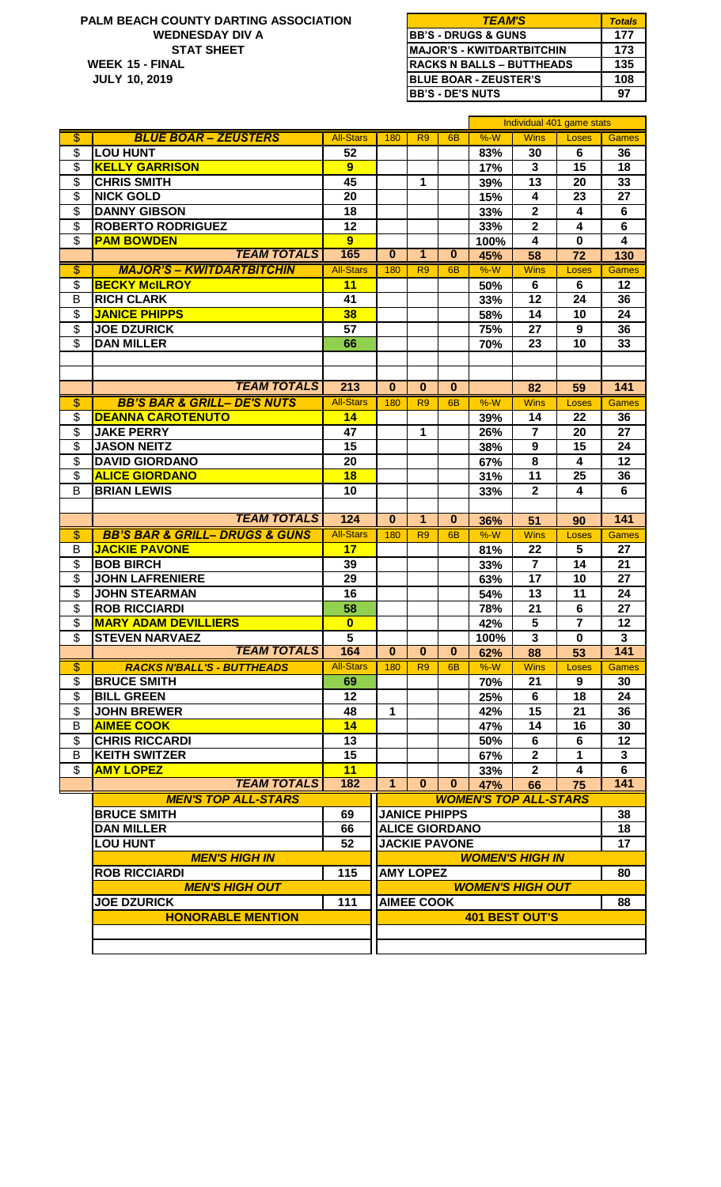#### **15 - FINAL 135 10, 2019 STAT SHEET PALM BEACH COUNTY DARTING ASSOCIATION** *TEAM'S* **WEEK WEDNESDAY DIV A JULY**

| <b>TEAM'S</b>                     | <b>Totals</b> |
|-----------------------------------|---------------|
| <b>BB'S - DRUGS &amp; GUNS</b>    | 177           |
| <b>IMAJOR'S - KWITDARTBITCHIN</b> | 173           |
| <b>RACKS N BALLS – BUTTHEADS</b>  | 135           |
| <b>BLUE BOAR - ZEUSTER'S</b>      | 108           |
| <b>BB'S - DE'S NUTS</b>           | 97            |

|                          |                                               |                         |                       |                      |                       | Individual 401 game stats |                              |                         |                         |  |
|--------------------------|-----------------------------------------------|-------------------------|-----------------------|----------------------|-----------------------|---------------------------|------------------------------|-------------------------|-------------------------|--|
| $\overline{\$}$          | <b>BLUE BOAR - ZEUSTERS</b>                   | <b>All-Stars</b>        | 180                   | R <sub>9</sub>       | 6 <sub>B</sub>        | $%-W$                     | <b>Wins</b>                  | Loses                   | Games                   |  |
| \$                       | <b>LOU HUNT</b>                               | 52                      |                       |                      |                       | 83%                       | 30                           | 6                       | 36                      |  |
| \$                       | <b>KELLY GARRISON</b>                         | $\overline{9}$          |                       |                      |                       | 17%                       | $\mathbf{3}$                 | 15                      | 18                      |  |
| $\overline{\mathcal{S}}$ | <b>CHRIS SMITH</b>                            | 45                      |                       | 1                    |                       | 39%                       | 13                           | 20                      | 33                      |  |
| $\overline{\$}$          | <b>NICK GOLD</b>                              | 20                      |                       |                      |                       | 15%                       | $\overline{\mathbf{4}}$      | 23                      | 27                      |  |
| \$                       | <b>DANNY GIBSON</b>                           | 18                      |                       |                      |                       | 33%                       | $\mathbf{2}$                 | $\overline{\mathbf{4}}$ | 6                       |  |
|                          |                                               |                         |                       |                      |                       |                           |                              |                         |                         |  |
| \$                       | <b>ROBERTO RODRIGUEZ</b>                      | 12                      |                       |                      |                       | 33%                       | $\mathbf 2$                  | 4                       | 6                       |  |
| \$                       | <b>PAM BOWDEN</b>                             | 9                       |                       |                      |                       | 100%                      | 4                            | $\mathbf 0$             | $\overline{\mathbf{4}}$ |  |
|                          | <b>TEAM TOTALS</b>                            | 165                     | $\bf{0}$              | $\mathbf{1}$         | $\bf{0}$              | 45%                       | 58                           | 72                      | 130                     |  |
| $\overline{\$}$          | <b>MAJOR'S - KWITDARTBITCHIN</b>              | <b>All-Stars</b>        | 180                   | R <sub>9</sub>       | 6 <sub>B</sub>        | $%-W$                     | <b>Wins</b>                  | Loses                   | <b>Games</b>            |  |
| \$                       | <b>BECKY McILROY</b>                          | 11                      |                       |                      |                       | 50%                       | 6                            | 6                       | 12                      |  |
| B                        | <b>RICH CLARK</b>                             | 41                      |                       |                      |                       | 33%                       | 12                           | 24                      | 36                      |  |
| \$                       | <b>JANICE PHIPPS</b>                          | 38                      |                       |                      |                       | 58%                       | 14                           | 10                      | 24                      |  |
| \$                       | <b>JOE DZURICK</b>                            | 57                      |                       |                      |                       | 75%                       | 27                           | 9                       | 36                      |  |
| \$                       | <b>DAN MILLER</b>                             | 66                      |                       |                      |                       | 70%                       | 23                           | 10                      | 33                      |  |
|                          |                                               |                         |                       |                      |                       |                           |                              |                         |                         |  |
|                          |                                               |                         |                       |                      |                       |                           |                              |                         |                         |  |
|                          | <b>TEAM TOTALS</b>                            | 213                     | $\bf{0}$              | $\bf{0}$             | $\bf{0}$              |                           | 82                           | 59                      | 141                     |  |
| \$                       | <b>BB'S BAR &amp; GRILL- DE'S NUTS</b>        | <b>All-Stars</b>        | 180                   | R <sub>9</sub>       | 6 <sub>B</sub>        | $%-W$                     | <b>Wins</b>                  | Loses                   | <b>Games</b>            |  |
| \$                       | <b>DEANNA CAROTENUTO</b>                      | 14                      |                       |                      |                       | 39%                       | 14                           | 22                      | 36                      |  |
| \$                       | <b>JAKE PERRY</b>                             | 47                      |                       | $\mathbf{1}$         |                       | 26%                       | $\overline{7}$               | 20                      | 27                      |  |
| \$                       | <b>JASON NEITZ</b>                            | 15                      |                       |                      |                       | 38%                       | 9                            | 15                      | 24                      |  |
|                          | <b>DAVID GIORDANO</b>                         | 20                      |                       |                      |                       |                           | 8                            |                         | 12                      |  |
| \$                       |                                               |                         |                       |                      |                       | 67%                       |                              | 4                       |                         |  |
| \$                       | <b>ALICE GIORDANO</b>                         | 18                      |                       |                      |                       | 31%                       | 11                           | 25                      | 36                      |  |
| B                        | <b>BRIAN LEWIS</b>                            | 10                      |                       |                      |                       | 33%                       | $\overline{2}$               | $\overline{\mathbf{4}}$ | $6\phantom{1}$          |  |
|                          |                                               |                         |                       |                      |                       |                           |                              |                         |                         |  |
|                          | <b>TEAM TOTALS</b>                            | 124                     | $\mathbf{0}$          | $\overline{1}$       | $\mathbf{0}$          | 36%                       | 51                           | 90                      | 141                     |  |
| $\overline{\$}$          | <b>BB'S BAR &amp; GRILL- DRUGS &amp; GUNS</b> | <b>All-Stars</b>        | 180                   | R <sub>9</sub>       | 6 <sub>B</sub>        | $%-W$                     | <b>Wins</b>                  | Loses                   | <b>Games</b>            |  |
| B                        | <b>JACKIE PAVONE</b>                          | 17                      |                       |                      |                       | 81%                       | 22                           | 5                       | 27                      |  |
| $\overline{\mathcal{G}}$ | <b>BOB BIRCH</b>                              | 39                      |                       |                      |                       | 33%                       | $\overline{7}$               | 14                      | 21                      |  |
| \$                       | <b>JOHN LAFRENIERE</b>                        | 29                      |                       |                      |                       | 63%                       | 17                           | 10                      | 27                      |  |
| \$                       | <b>JOHN STEARMAN</b>                          | 16                      |                       |                      |                       | 54%                       | 13                           | 11                      | 24                      |  |
| $\overline{\mathbf{e}}$  | <b>ROB RICCIARDI</b>                          | 58                      |                       |                      |                       | 78%                       | 21                           | 6                       | 27                      |  |
| \$                       | <b>MARY ADAM DEVILLIERS</b>                   | $\bf{0}$                |                       |                      |                       | 42%                       | 5                            | $\overline{7}$          | 12                      |  |
| \$                       | <b>STEVEN NARVAEZ</b>                         | 5                       |                       |                      |                       | 100%                      | 3                            | $\bf{0}$                | $\mathbf{3}$            |  |
|                          | <b>TEAM TOTALS</b>                            | 164                     | 0                     | 0                    | 0                     | 62%                       | 88                           | 53                      | 141                     |  |
| $\overline{\$}$          | <b>RACKS N'BALL'S - BUTTHEADS</b>             | <b>All-Stars</b>        | 180                   | R <sub>9</sub>       | 6 <sub>B</sub>        | $%-W$                     | <b>Wins</b>                  | Loses                   | <b>Games</b>            |  |
| \$                       | <b>BRUCE SMITH</b>                            | 69                      |                       |                      |                       | 70%                       | 21                           | 9                       | 30                      |  |
| \$                       | <b>BILL GREEN</b>                             | 12                      |                       |                      |                       | 25%                       | 6                            | 18                      | 24                      |  |
| \$                       | <b>JOHN BREWER</b>                            | 48                      | 1                     |                      |                       | 42%                       | 15                           | 21                      | 36                      |  |
| B                        | <b>AIMEE COOK</b>                             | 14                      |                       |                      |                       | 47%                       | 14                           | 16                      | 30                      |  |
| \$                       | <b>CHRIS RICCARDI</b>                         | 13                      |                       |                      |                       | 50%                       | 6                            | 6                       | 12                      |  |
| B                        | <b>KEITH SWITZER</b>                          | 15                      |                       |                      |                       | 67%                       | $\mathbf{2}$                 | 1                       | 3                       |  |
| \$                       | <b>AMY LOPEZ</b>                              | 11                      |                       |                      |                       | 33%                       | $\overline{2}$               | 4                       | 6                       |  |
|                          | <b>TEAM TOTALS</b>                            | 182                     | $\mathbf{1}$          | $\mathbf{0}$         | $\mathbf{0}$          | 47%                       | 66                           | 75                      | 141                     |  |
|                          | <b>MEN'S TOP ALL-STARS</b>                    |                         |                       |                      |                       |                           | <b>WOMEN'S TOP ALL-STARS</b> |                         |                         |  |
|                          | <b>BRUCE SMITH</b>                            |                         |                       | <b>JANICE PHIPPS</b> |                       |                           |                              |                         | 38                      |  |
|                          |                                               | 69                      |                       |                      | <b>ALICE GIORDANO</b> |                           |                              |                         |                         |  |
|                          | <b>DAN MILLER</b>                             | 66                      |                       |                      |                       |                           |                              |                         | 18                      |  |
|                          | <b>LOU HUNT</b><br>52                         |                         |                       |                      | <b>JACKIE PAVONE</b>  |                           |                              |                         | 17                      |  |
|                          | <b>MEN'S HIGH IN</b>                          |                         |                       |                      |                       |                           | <b>WOMEN'S HIGH IN</b>       |                         |                         |  |
|                          | <b>ROB RICCIARDI</b>                          | 115<br><b>AMY LOPEZ</b> |                       |                      |                       |                           | 80                           |                         |                         |  |
|                          | <b>MEN'S HIGH OUT</b>                         | <b>WOMEN'S HIGH OUT</b> |                       |                      |                       |                           |                              |                         |                         |  |
|                          | <b>JOE DZURICK</b>                            | 111                     | <b>AIMEE COOK</b>     |                      |                       |                           |                              | 88                      |                         |  |
|                          | <b>HONORABLE MENTION</b>                      |                         | <b>401 BEST OUT'S</b> |                      |                       |                           |                              |                         |                         |  |
|                          |                                               |                         |                       |                      |                       |                           |                              |                         |                         |  |
|                          |                                               |                         |                       |                      |                       |                           |                              |                         |                         |  |